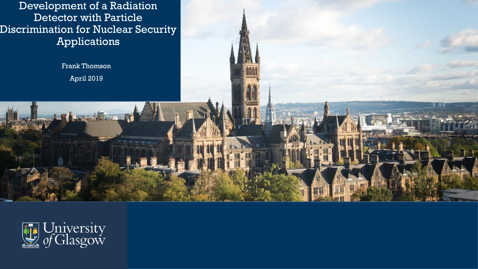Development of a Radiation Detector with Particle Discrimination for Nuclear Security Applications

> Frank Thomson April 2019

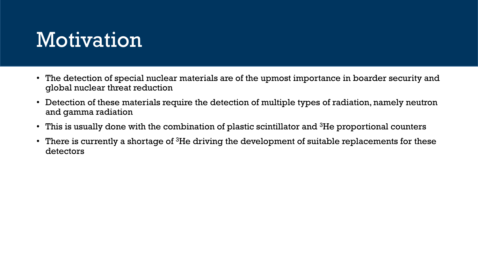## Motivation

- The detection of special nuclear materials are of the upmost importance in boarder security and global nuclear threat reduction
- Detection of these materials require the detection of multiple types of radiation, namely neutron and gamma radiation
- This is usually done with the combination of plastic scintillator and  ${}^{3}$ He proportional counters
- There is currently a shortage of  ${}^{3}$ He driving the development of suitable replacements for these detectors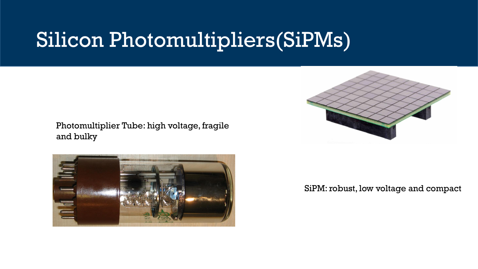## Silicon Photomultipliers(SiPMs)

#### Photomultiplier Tube: high voltage, fragile and bulky





SiPM: robust, low voltage and compact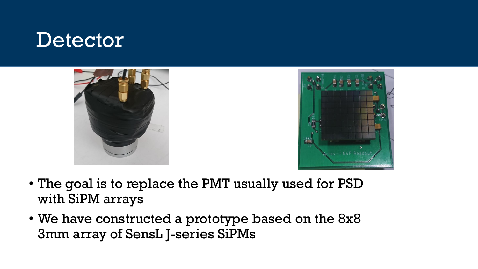#### **Detector**





- The goal is to replace the PMT usually used for PSD with SiPM arrays
- We have constructed a prototype based on the 8x8 3mm array of SensL J-series SiPMs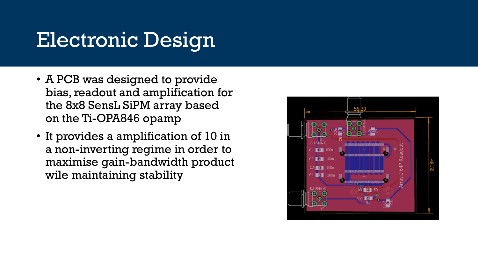## Electronic Design

- A PCB was designed to provide bias, readout and amplification for the 8x8 SensL SiPM array based on the Ti-OPA846 opamp
- It provides a amplification of 10 in a non-inverting regime in order to maximise gain-bandwidth product wile maintaining stability

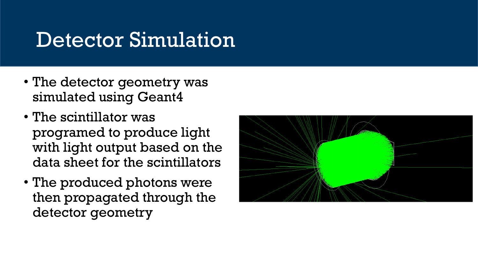## Detector Simulation

- The detector geometry was simulated using Geant4
- The scintillator was programed to produce light with light output based on the data sheet for the scintillators
- The produced photons were then propagated through the detector geometry

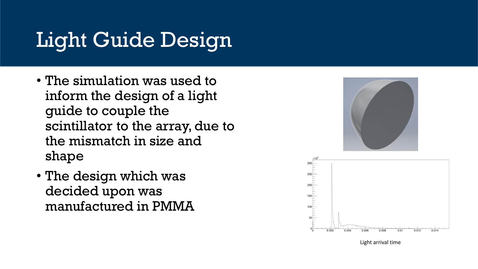# Light Guide Design

- The simulation was used to inform the design of a light guide to couple the scintillator to the array, due to the mismatch in size and shape
- The design which was decided upon was manufactured in PMMA





Light arrival time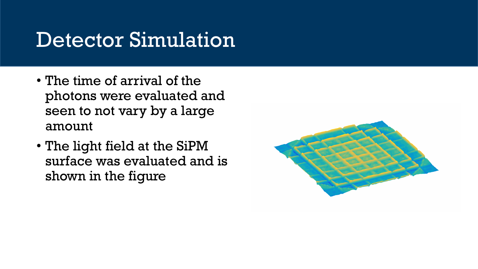## Detector Simulation

- The time of arrival of the photons were evaluated and seen to not vary by a large amount
- The light field at the SiPM surface was evaluated and is shown in the figure

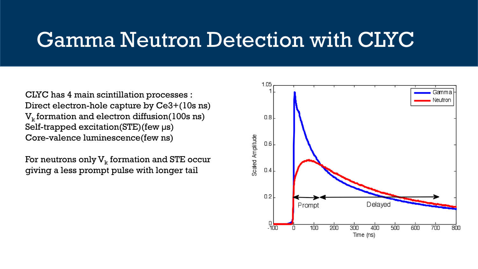### Gamma Neutron Detection with CLYC

CLYC has 4 main scintillation processes : Direct electron-hole capture by Ce3+(10s ns)  $\rm V_k$  formation and electron diffusion(100s ns) Self-trapped excitation(STE)(few µs) Core-valence luminescence(few ns)

For neutrons only  $\mathrm{V}_{\mathrm{k}}$  formation and STE occur giving a less prompt pulse with longer tail

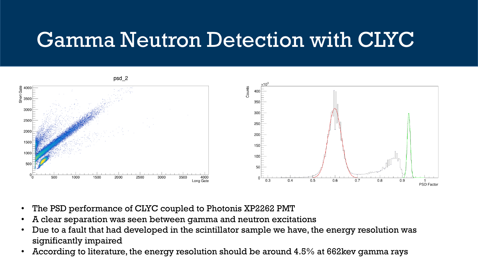## Gamma Neutron Detection with CLYC



- The PSD performance of CLYC coupled to Photonis XP2262 PMT
- A clear separation was seen between gamma and neutron excitations
- Due to a fault that had developed in the scintillator sample we have, the energy resolution was significantly impaired
- According to literature, the energy resolution should be around 4.5% at 662kev gamma rays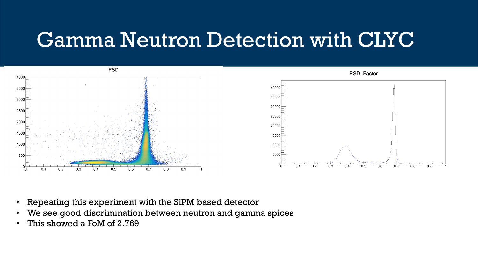## Gamma Neutron Detection with CLYC



- Repeating this experiment with the SiPM based detector
- We see good discrimination between neutron and gamma spices
- This showed a FoM of 2.769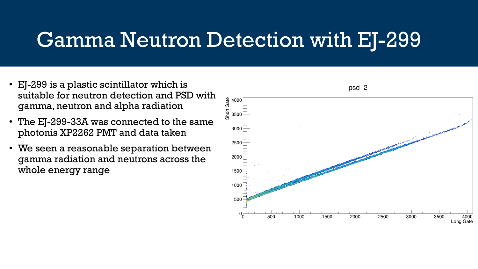## Gamma Neutron Detection with EJ-299

- EJ-299 is a plastic scintillator which is suitable for neutron detection and PSD with gamma, neutron and alpha radiation
- The EJ-299-33A was connected to the same photonis XP2262 PMT and data taken
- We seen a reasonable separation between gamma radiation and neutrons across the whole energy range

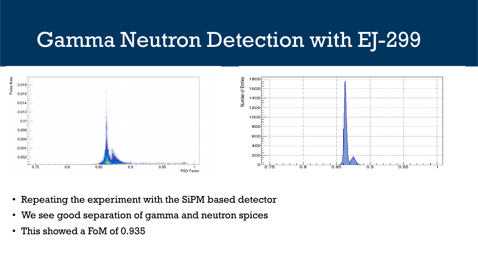## Gamma Neutron Detection with EJ-299



- Repeating the experiment with the SiPM based detector
- We see good separation of gamma and neutron spices
- This showed a FoM of 0.935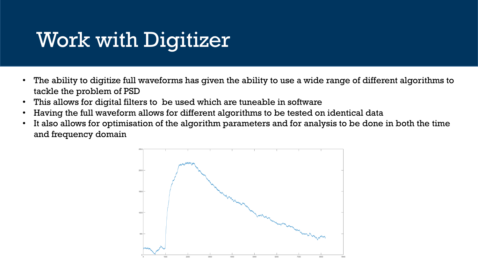# Work with Digitizer

- The ability to digitize full waveforms has given the ability to use a wide range of different algorithms to tackle the problem of PSD
- This allows for digital filters to be used which are tuneable in software
- Having the full waveform allows for different algorithms to be tested on identical data
- It also allows for optimisation of the algorithm parameters and for analysis to be done in both the time and frequency domain

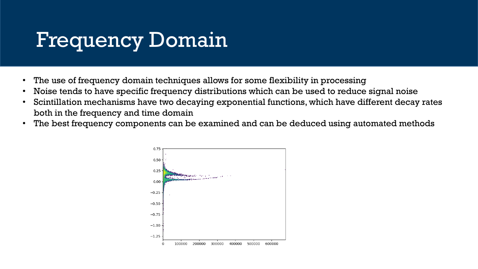## Frequency Domain

- The use of frequency domain techniques allows for some flexibility in processing
- Noise tends to have specific frequency distributions which can be used to reduce signal noise
- Scintillation mechanisms have two decaying exponential functions, which have different decay rates both in the frequency and time domain
- The best frequency components can be examined and can be deduced using automated methods

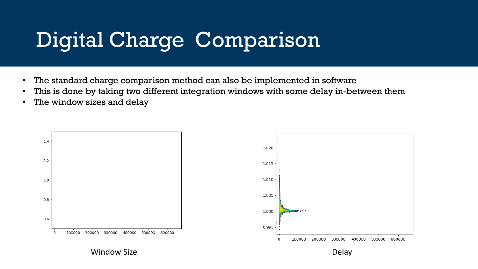# Digital Charge Comparison

- The standard charge comparison method can also be implemented in software
- This is done by taking two different integration windows with some delay in-between them
- The window sizes and delay